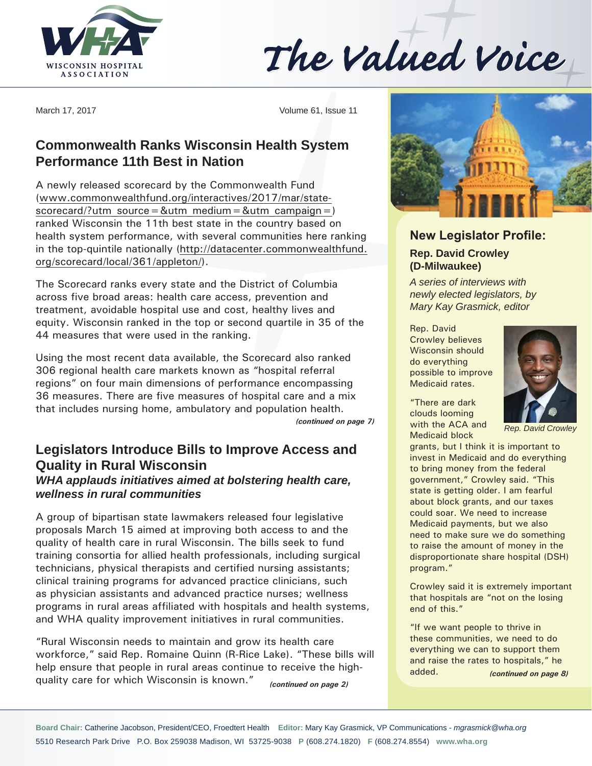

The Valued Voice

March 17, 2017 Volume 61, Issue 11

# **Commonwealth Ranks Wisconsin Health System Performance 11th Best in Nation**

A newly released scorecard by the Commonwealth Fund (www.commonwealthfund.org/interactives/2017/mar/state $scorecard$ ?utm\_source=&utm\_medium=&utm\_campaign=) ranked Wisconsin the 11th best state in the country based on health system performance, with several communities here ranking in the top-quintile nationally (http://datacenter.commonwealthfund. org/scorecard/local/361/appleton/).

The Scorecard ranks every state and the District of Columbia across five broad areas: health care access, prevention and treatment, avoidable hospital use and cost, healthy lives and equity. Wisconsin ranked in the top or second quartile in 35 of the 44 measures that were used in the ranking.

Using the most recent data available, the Scorecard also ranked 306 regional health care markets known as "hospital referral regions" on four main dimensions of performance encompassing 36 measures. There are five measures of hospital care and a mix that includes nursing home, ambulatory and population health.

# **Legislators Introduce Bills to Improve Access and Quality in Rural Wisconsin**

#### *WHA applauds initiatives aimed at bolstering health care, wellness in rural communities*

A group of bipartisan state lawmakers released four legislative proposals March 15 aimed at improving both access to and the quality of health care in rural Wisconsin. The bills seek to fund training consortia for allied health professionals, including surgical technicians, physical therapists and certified nursing assistants; clinical training programs for advanced practice clinicians, such as physician assistants and advanced practice nurses; wellness programs in rural areas affiliated with hospitals and health systems, and WHA quality improvement initiatives in rural communities.

"Rural Wisconsin needs to maintain and grow its health care workforce," said Rep. Romaine Quinn (R-Rice Lake). "These bills will help ensure that people in rural areas continue to receive the highquality care for which Wisconsin is known." *(continued on page 2)*



# **New Legislator Profile: Rep. David Crowley (D-Milwaukee)**

*A series of interviews with newly elected legislators, by Mary Kay Grasmick, editor*

Rep. David Crowley believes Wisconsin should do everything possible to improve Medicaid rates.

"There are dark clouds looming *(continued on page 7) Rep. David Crowley* **Rep. David Crowley** Medicaid block



grants, but I think it is important to invest in Medicaid and do everything to bring money from the federal government," Crowley said. "This state is getting older. I am fearful about block grants, and our taxes could soar. We need to increase Medicaid payments, but we also need to make sure we do something to raise the amount of money in the disproportionate share hospital (DSH) program."

Crowley said it is extremely important that hospitals are "not on the losing end of this."

"If we want people to thrive in these communities, we need to do everything we can to support them and raise the rates to hospitals," he added. *(continued on page 8)*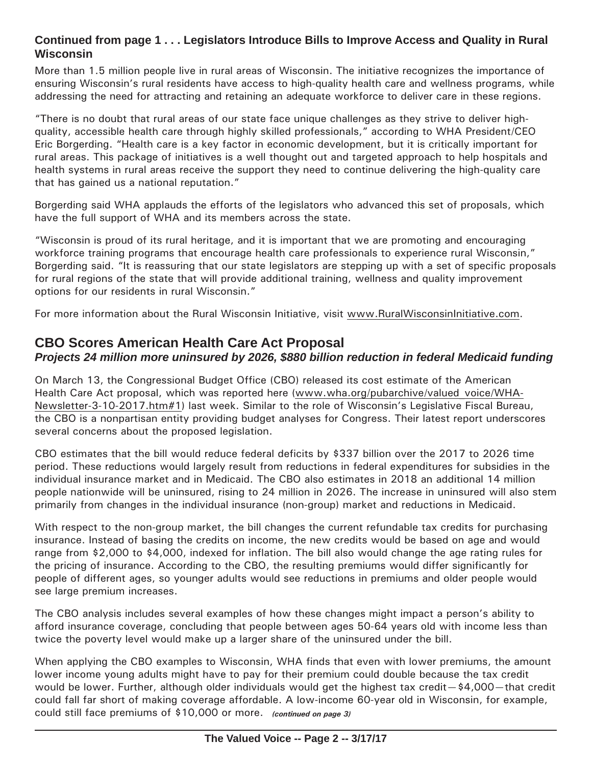### **Continued from page 1 . . . Legislators Introduce Bills to Improve Access and Quality in Rural Wisconsin**

More than 1.5 million people live in rural areas of Wisconsin. The initiative recognizes the importance of ensuring Wisconsin's rural residents have access to high-quality health care and wellness programs, while addressing the need for attracting and retaining an adequate workforce to deliver care in these regions.

"There is no doubt that rural areas of our state face unique challenges as they strive to deliver highquality, accessible health care through highly skilled professionals," according to WHA President/CEO Eric Borgerding. "Health care is a key factor in economic development, but it is critically important for rural areas. This package of initiatives is a well thought out and targeted approach to help hospitals and health systems in rural areas receive the support they need to continue delivering the high-quality care that has gained us a national reputation."

Borgerding said WHA applauds the efforts of the legislators who advanced this set of proposals, which have the full support of WHA and its members across the state.

"Wisconsin is proud of its rural heritage, and it is important that we are promoting and encouraging workforce training programs that encourage health care professionals to experience rural Wisconsin," Borgerding said. "It is reassuring that our state legislators are stepping up with a set of specific proposals for rural regions of the state that will provide additional training, wellness and quality improvement options for our residents in rural Wisconsin."

For more information about the Rural Wisconsin Initiative, visit www.RuralWisconsinInitiative.com.

# **CBO Scores American Health Care Act Proposal**

#### *Projects 24 million more uninsured by 2026, \$880 billion reduction in federal Medicaid funding*

On March 13, the Congressional Budget Office (CBO) released its cost estimate of the American Health Care Act proposal, which was reported here (www.wha.org/pubarchive/valued voice/WHA-Newsletter-3-10-2017.htm#1) last week. Similar to the role of Wisconsin's Legislative Fiscal Bureau, the CBO is a nonpartisan entity providing budget analyses for Congress. Their latest report underscores several concerns about the proposed legislation.

CBO estimates that the bill would reduce federal deficits by \$337 billion over the 2017 to 2026 time period. These reductions would largely result from reductions in federal expenditures for subsidies in the individual insurance market and in Medicaid. The CBO also estimates in 2018 an additional 14 million people nationwide will be uninsured, rising to 24 million in 2026. The increase in uninsured will also stem primarily from changes in the individual insurance (non-group) market and reductions in Medicaid.

With respect to the non-group market, the bill changes the current refundable tax credits for purchasing insurance. Instead of basing the credits on income, the new credits would be based on age and would range from \$2,000 to \$4,000, indexed for inflation. The bill also would change the age rating rules for the pricing of insurance. According to the CBO, the resulting premiums would differ significantly for people of different ages, so younger adults would see reductions in premiums and older people would see large premium increases.

The CBO analysis includes several examples of how these changes might impact a person's ability to afford insurance coverage, concluding that people between ages 50-64 years old with income less than twice the poverty level would make up a larger share of the uninsured under the bill.

When applying the CBO examples to Wisconsin, WHA finds that even with lower premiums, the amount lower income young adults might have to pay for their premium could double because the tax credit would be lower. Further, although older individuals would get the highest tax credit—\$4,000—that credit could fall far short of making coverage affordable. A low-income 60-year old in Wisconsin, for example, could still face premiums of \$10,000 or more. *(continued on page 3)*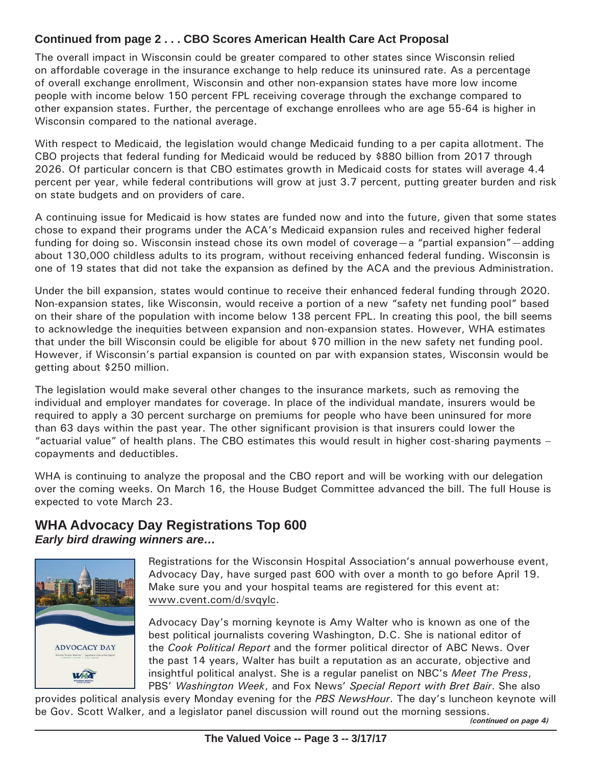## **Continued from page 2 . . . CBO Scores American Health Care Act Proposal**

The overall impact in Wisconsin could be greater compared to other states since Wisconsin relied on affordable coverage in the insurance exchange to help reduce its uninsured rate. As a percentage of overall exchange enrollment, Wisconsin and other non-expansion states have more low income people with income below 150 percent FPL receiving coverage through the exchange compared to other expansion states. Further, the percentage of exchange enrollees who are age 55-64 is higher in Wisconsin compared to the national average.

With respect to Medicaid, the legislation would change Medicaid funding to a per capita allotment. The CBO projects that federal funding for Medicaid would be reduced by \$880 billion from 2017 through 2026. Of particular concern is that CBO estimates growth in Medicaid costs for states will average 4.4 percent per year, while federal contributions will grow at just 3.7 percent, putting greater burden and risk on state budgets and on providers of care.

A continuing issue for Medicaid is how states are funded now and into the future, given that some states chose to expand their programs under the ACA's Medicaid expansion rules and received higher federal funding for doing so. Wisconsin instead chose its own model of coverage—a "partial expansion"—adding about 130,000 childless adults to its program, without receiving enhanced federal funding. Wisconsin is one of 19 states that did not take the expansion as defined by the ACA and the previous Administration.

Under the bill expansion, states would continue to receive their enhanced federal funding through 2020. Non-expansion states, like Wisconsin, would receive a portion of a new "safety net funding pool" based on their share of the population with income below 138 percent FPL. In creating this pool, the bill seems to acknowledge the inequities between expansion and non-expansion states. However, WHA estimates that under the bill Wisconsin could be eligible for about \$70 million in the new safety net funding pool. However, if Wisconsin's partial expansion is counted on par with expansion states, Wisconsin would be getting about \$250 million.

The legislation would make several other changes to the insurance markets, such as removing the individual and employer mandates for coverage. In place of the individual mandate, insurers would be required to apply a 30 percent surcharge on premiums for people who have been uninsured for more than 63 days within the past year. The other significant provision is that insurers could lower the "actuarial value" of health plans. The CBO estimates this would result in higher cost-sharing payments – copayments and deductibles.

WHA is continuing to analyze the proposal and the CBO report and will be working with our delegation over the coming weeks. On March 16, the House Budget Committee advanced the bill. The full House is expected to vote March 23.

## **WHA Advocacy Day Registrations Top 600** *Early bird drawing winners are…*



Registrations for the Wisconsin Hospital Association's annual powerhouse event, Advocacy Day, have surged past 600 with over a month to go before April 19. Make sure you and your hospital teams are registered for this event at: www.cvent.com/d/svqylc.

Advocacy Day's morning keynote is Amy Walter who is known as one of the best political journalists covering Washington, D.C. She is national editor of the *Cook Political Report* and the former political director of ABC News. Over the past 14 years, Walter has built a reputation as an accurate, objective and insightful political analyst. She is a regular panelist on NBC's *Meet The Press*, PBS' *Washington Week*, and Fox News' *Special Report with Bret Bair*. She also

provides political analysis every Monday evening for the *PBS NewsHour*. The day's luncheon keynote will be Gov. Scott Walker, and a legislator panel discussion will round out the morning sessions.

*(continued on page 4)*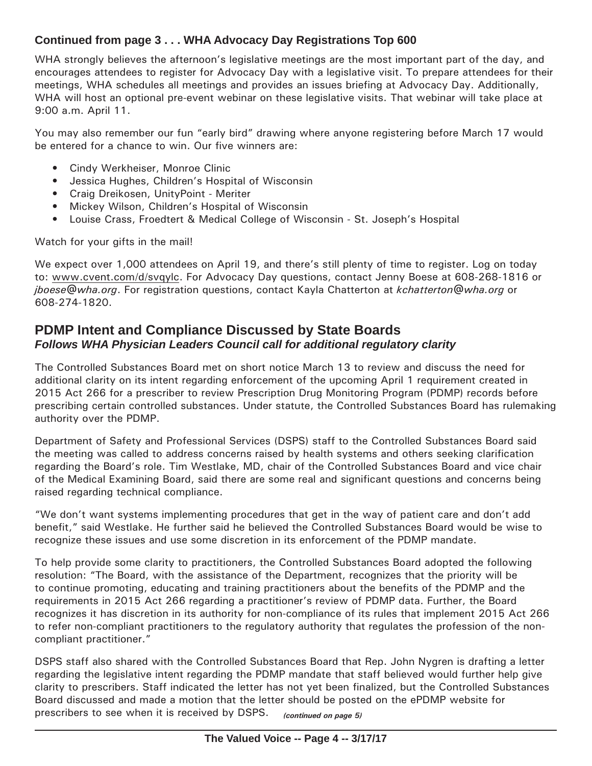## **Continued from page 3 . . . WHA Advocacy Day Registrations Top 600**

WHA strongly believes the afternoon's legislative meetings are the most important part of the day, and encourages attendees to register for Advocacy Day with a legislative visit. To prepare attendees for their meetings, WHA schedules all meetings and provides an issues briefing at Advocacy Day. Additionally, WHA will host an optional pre-event webinar on these legislative visits. That webinar will take place at 9:00 a.m. April 11.

You may also remember our fun "early bird" drawing where anyone registering before March 17 would be entered for a chance to win. Our five winners are:

- Cindy Werkheiser, Monroe Clinic
- Jessica Hughes, Children's Hospital of Wisconsin
- Craig Dreikosen, UnityPoint Meriter
- Mickey Wilson, Children's Hospital of Wisconsin
- Louise Crass, Froedtert & Medical College of Wisconsin St. Joseph's Hospital

Watch for your gifts in the mail!

We expect over 1,000 attendees on April 19, and there's still plenty of time to register. Log on today to: www.cvent.com/d/svqylc. For Advocacy Day questions, contact Jenny Boese at 608-268-1816 or *jboese@wha.org*. For registration questions, contact Kayla Chatterton at *kchatterton@wha.org* or 608-274-1820.

## **PDMP Intent and Compliance Discussed by State Boards** *Follows WHA Physician Leaders Council call for additional regulatory clarity*

The Controlled Substances Board met on short notice March 13 to review and discuss the need for additional clarity on its intent regarding enforcement of the upcoming April 1 requirement created in 2015 Act 266 for a prescriber to review Prescription Drug Monitoring Program (PDMP) records before prescribing certain controlled substances. Under statute, the Controlled Substances Board has rulemaking authority over the PDMP.

Department of Safety and Professional Services (DSPS) staff to the Controlled Substances Board said the meeting was called to address concerns raised by health systems and others seeking clarification regarding the Board's role. Tim Westlake, MD, chair of the Controlled Substances Board and vice chair of the Medical Examining Board, said there are some real and significant questions and concerns being raised regarding technical compliance.

"We don't want systems implementing procedures that get in the way of patient care and don't add benefit," said Westlake. He further said he believed the Controlled Substances Board would be wise to recognize these issues and use some discretion in its enforcement of the PDMP mandate.

To help provide some clarity to practitioners, the Controlled Substances Board adopted the following resolution: "The Board, with the assistance of the Department, recognizes that the priority will be to continue promoting, educating and training practitioners about the benefits of the PDMP and the requirements in 2015 Act 266 regarding a practitioner's review of PDMP data. Further, the Board recognizes it has discretion in its authority for non-compliance of its rules that implement 2015 Act 266 to refer non-compliant practitioners to the regulatory authority that regulates the profession of the noncompliant practitioner."

DSPS staff also shared with the Controlled Substances Board that Rep. John Nygren is drafting a letter regarding the legislative intent regarding the PDMP mandate that staff believed would further help give clarity to prescribers. Staff indicated the letter has not yet been finalized, but the Controlled Substances Board discussed and made a motion that the letter should be posted on the ePDMP website for prescribers to see when it is received by DSPS. *(continued on page 5)*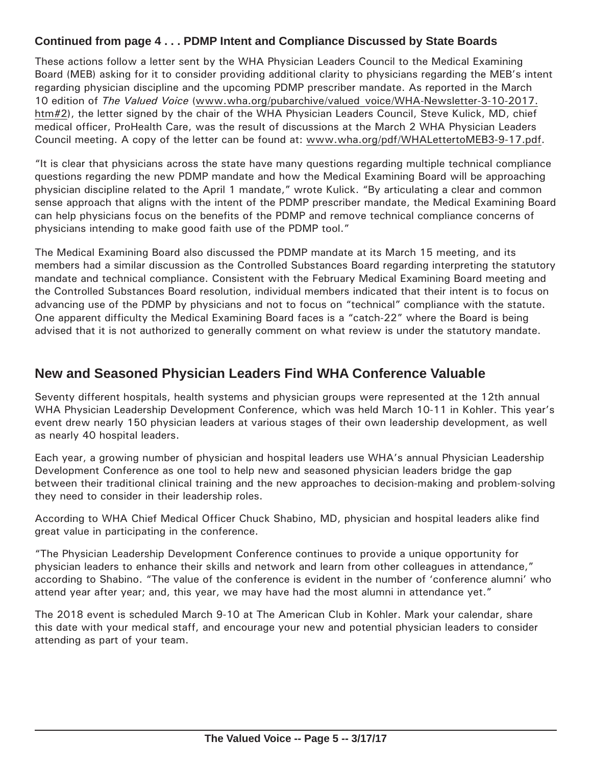#### **Continued from page 4 . . . PDMP Intent and Compliance Discussed by State Boards**

These actions follow a letter sent by the WHA Physician Leaders Council to the Medical Examining Board (MEB) asking for it to consider providing additional clarity to physicians regarding the MEB's intent regarding physician discipline and the upcoming PDMP prescriber mandate. As reported in the March 10 edition of *The Valued Voice* (www.wha.org/pubarchive/valued\_voice/WHA-Newsletter-3-10-2017. htm#2), the letter signed by the chair of the WHA Physician Leaders Council, Steve Kulick, MD, chief medical officer, ProHealth Care, was the result of discussions at the March 2 WHA Physician Leaders Council meeting. A copy of the letter can be found at: www.wha.org/pdf/WHALettertoMEB3-9-17.pdf.

"It is clear that physicians across the state have many questions regarding multiple technical compliance questions regarding the new PDMP mandate and how the Medical Examining Board will be approaching physician discipline related to the April 1 mandate," wrote Kulick. "By articulating a clear and common sense approach that aligns with the intent of the PDMP prescriber mandate, the Medical Examining Board can help physicians focus on the benefits of the PDMP and remove technical compliance concerns of physicians intending to make good faith use of the PDMP tool."

The Medical Examining Board also discussed the PDMP mandate at its March 15 meeting, and its members had a similar discussion as the Controlled Substances Board regarding interpreting the statutory mandate and technical compliance. Consistent with the February Medical Examining Board meeting and the Controlled Substances Board resolution, individual members indicated that their intent is to focus on advancing use of the PDMP by physicians and not to focus on "technical" compliance with the statute. One apparent difficulty the Medical Examining Board faces is a "catch-22" where the Board is being advised that it is not authorized to generally comment on what review is under the statutory mandate.

# **New and Seasoned Physician Leaders Find WHA Conference Valuable**

Seventy different hospitals, health systems and physician groups were represented at the 12th annual WHA Physician Leadership Development Conference, which was held March 10-11 in Kohler. This year's event drew nearly 150 physician leaders at various stages of their own leadership development, as well as nearly 40 hospital leaders.

Each year, a growing number of physician and hospital leaders use WHA's annual Physician Leadership Development Conference as one tool to help new and seasoned physician leaders bridge the gap between their traditional clinical training and the new approaches to decision-making and problem-solving they need to consider in their leadership roles.

According to WHA Chief Medical Officer Chuck Shabino, MD, physician and hospital leaders alike find great value in participating in the conference.

"The Physician Leadership Development Conference continues to provide a unique opportunity for physician leaders to enhance their skills and network and learn from other colleagues in attendance," according to Shabino. "The value of the conference is evident in the number of 'conference alumni' who attend year after year; and, this year, we may have had the most alumni in attendance yet."

The 2018 event is scheduled March 9-10 at The American Club in Kohler. Mark your calendar, share this date with your medical staff, and encourage your new and potential physician leaders to consider attending as part of your team.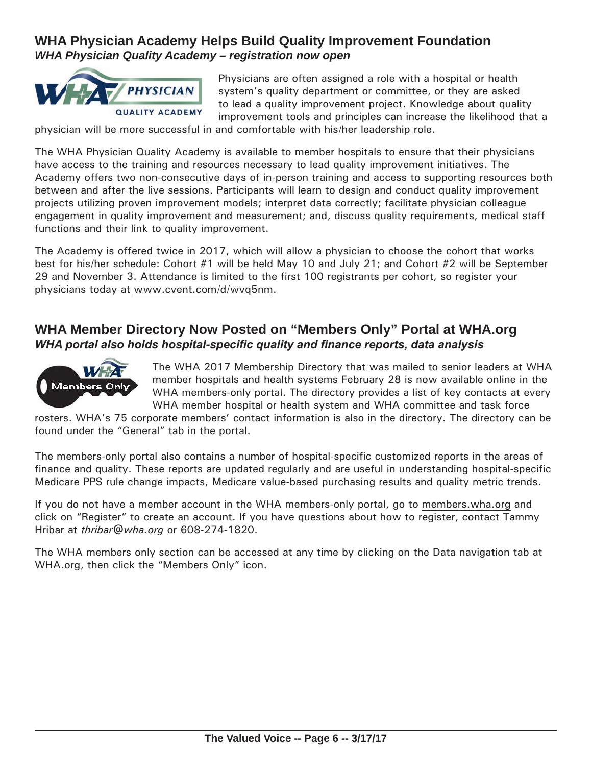# **WHA Physician Academy Helps Build Quality Improvement Foundation**  *WHA Physician Quality Academy – registration now open*



Physicians are often assigned a role with a hospital or health system's quality department or committee, or they are asked to lead a quality improvement project. Knowledge about quality improvement tools and principles can increase the likelihood that a

physician will be more successful in and comfortable with his/her leadership role.

The WHA Physician Quality Academy is available to member hospitals to ensure that their physicians have access to the training and resources necessary to lead quality improvement initiatives. The Academy offers two non-consecutive days of in-person training and access to supporting resources both between and after the live sessions. Participants will learn to design and conduct quality improvement projects utilizing proven improvement models; interpret data correctly; facilitate physician colleague engagement in quality improvement and measurement; and, discuss quality requirements, medical staff functions and their link to quality improvement.

The Academy is offered twice in 2017, which will allow a physician to choose the cohort that works best for his/her schedule: Cohort #1 will be held May 10 and July 21; and Cohort #2 will be September 29 and November 3. Attendance is limited to the first 100 registrants per cohort, so register your physicians today at www.cvent.com/d/wvq5nm.

## **WHA Member Directory Now Posted on "Members Only" Portal at WHA.org** *WHA portal also holds hospital-specific quality and finance reports, data analysis*



The WHA 2017 Membership Directory that was mailed to senior leaders at WHA member hospitals and health systems February 28 is now available online in the WHA members-only portal. The directory provides a list of key contacts at every WHA member hospital or health system and WHA committee and task force

rosters. WHA's 75 corporate members' contact information is also in the directory. The directory can be found under the "General" tab in the portal.

The members-only portal also contains a number of hospital-specific customized reports in the areas of finance and quality. These reports are updated regularly and are useful in understanding hospital-specific Medicare PPS rule change impacts, Medicare value-based purchasing results and quality metric trends.

If you do not have a member account in the WHA members-only portal, go to members.wha.org and click on "Register" to create an account. If you have questions about how to register, contact Tammy Hribar at *thribar@wha.org* or 608-274-1820.

The WHA members only section can be accessed at any time by clicking on the Data navigation tab at WHA.org, then click the "Members Only" icon.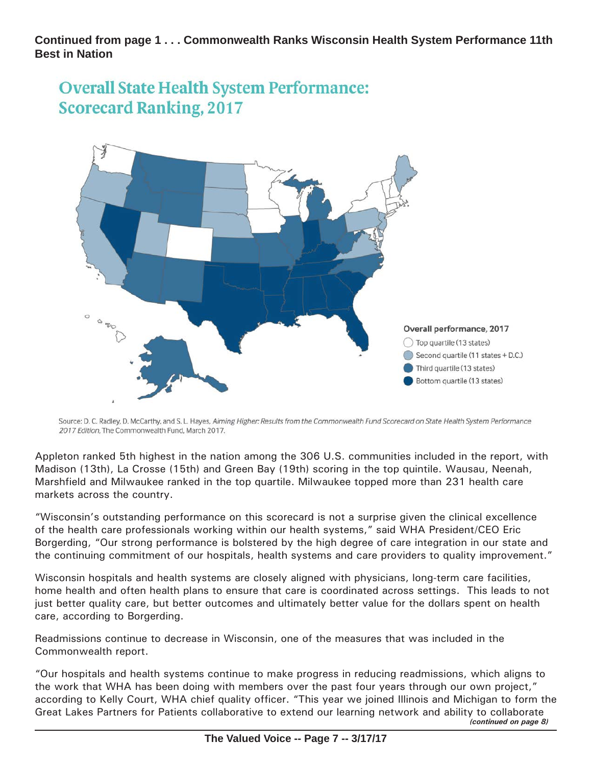**Continued from page 1 . . . Commonwealth Ranks Wisconsin Health System Performance 11th Best in Nation**





Source: D. C. Radley, D. McCarthy, and S. L. Hayes, Aiming Higher: Results from the Commonwealth Fund Scorecard on State Health System Performance 2017 Edition. The Commonwealth Fund, March 2017.

Appleton ranked 5th highest in the nation among the 306 U.S. communities included in the report, with Madison (13th), La Crosse (15th) and Green Bay (19th) scoring in the top quintile. Wausau, Neenah, Marshfield and Milwaukee ranked in the top quartile. Milwaukee topped more than 231 health care markets across the country.

"Wisconsin's outstanding performance on this scorecard is not a surprise given the clinical excellence of the health care professionals working within our health systems," said WHA President/CEO Eric Borgerding, "Our strong performance is bolstered by the high degree of care integration in our state and the continuing commitment of our hospitals, health systems and care providers to quality improvement."

Wisconsin hospitals and health systems are closely aligned with physicians, long-term care facilities, home health and often health plans to ensure that care is coordinated across settings. This leads to not just better quality care, but better outcomes and ultimately better value for the dollars spent on health care, according to Borgerding.

Readmissions continue to decrease in Wisconsin, one of the measures that was included in the Commonwealth report.

"Our hospitals and health systems continue to make progress in reducing readmissions, which aligns to the work that WHA has been doing with members over the past four years through our own project," according to Kelly Court, WHA chief quality officer. "This year we joined Illinois and Michigan to form the Great Lakes Partners for Patients collaborative to extend our learning network and ability to collaborate *(continued on page 8)*